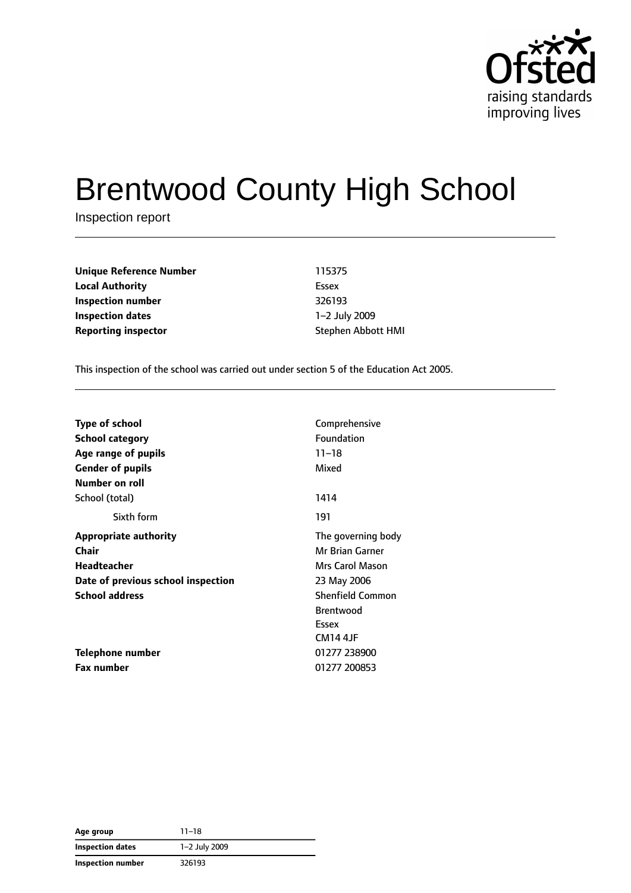

# Brentwood County High School

Inspection report

**Unique Reference Number** 115375 **Local Authority** Essex **Inspection number** 326193 **Inspection dates** 1–2 July 2009 **Reporting inspector Stephen Abbott HMI** 

This inspection of the school was carried out under section 5 of the Education Act 2005.

| <b>Type of school</b>              | Comprehensive           |
|------------------------------------|-------------------------|
| <b>School category</b>             | Foundation              |
| Age range of pupils                | $11 - 18$               |
| <b>Gender of pupils</b>            | Mixed                   |
| Number on roll                     |                         |
| School (total)                     | 1414                    |
| Sixth form                         | 191                     |
| Appropriate authority              | The governing body      |
| <b>Chair</b>                       | Mr Brian Garner         |
| Headteacher                        | Mrs Carol Mason         |
| Date of previous school inspection | 23 May 2006             |
| <b>School address</b>              | <b>Shenfield Common</b> |
|                                    | <b>Brentwood</b>        |
|                                    | Essex                   |
|                                    | <b>CM14 4JF</b>         |
| <b>Telephone number</b>            | 01277 238900            |
| <b>Fax number</b>                  | 01277 200853            |

| Age group               | 11–18         |  |
|-------------------------|---------------|--|
| <b>Inspection dates</b> | 1-2 July 2009 |  |
| Inspection number       | 326193        |  |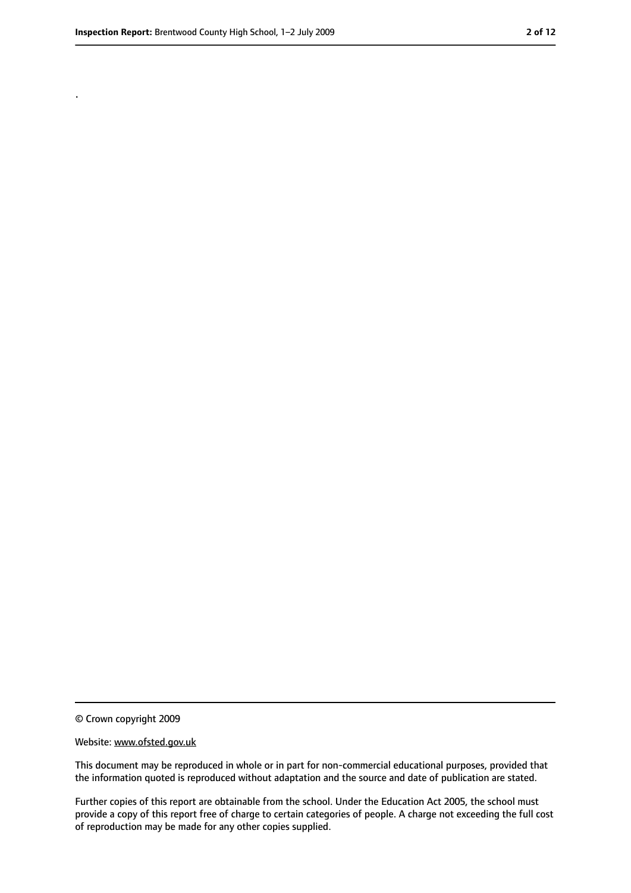.

<sup>©</sup> Crown copyright 2009

Website: www.ofsted.gov.uk

This document may be reproduced in whole or in part for non-commercial educational purposes, provided that the information quoted is reproduced without adaptation and the source and date of publication are stated.

Further copies of this report are obtainable from the school. Under the Education Act 2005, the school must provide a copy of this report free of charge to certain categories of people. A charge not exceeding the full cost of reproduction may be made for any other copies supplied.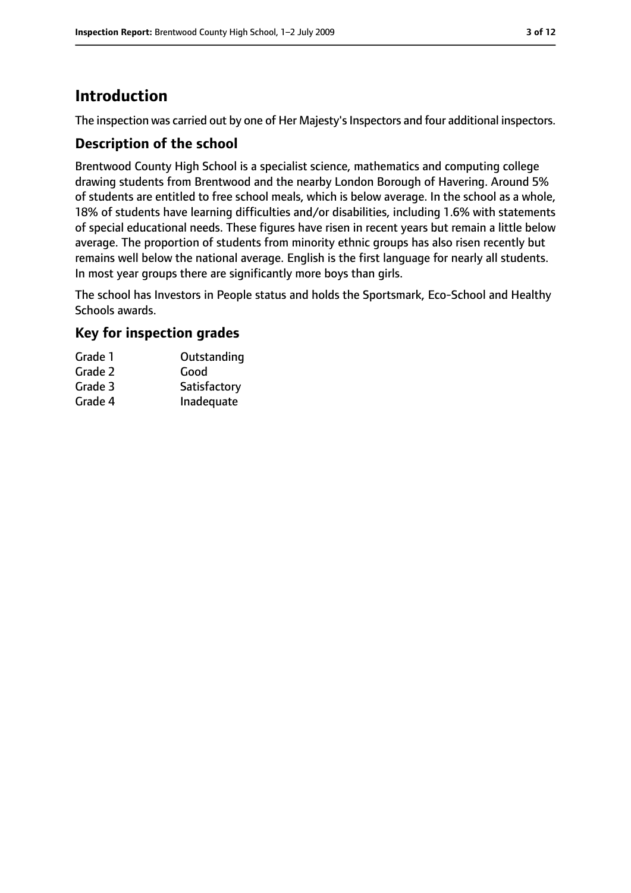# **Introduction**

The inspection was carried out by one of Her Majesty's Inspectors and four additional inspectors.

## **Description of the school**

Brentwood County High School is a specialist science, mathematics and computing college drawing students from Brentwood and the nearby London Borough of Havering. Around 5% of students are entitled to free school meals, which is below average. In the school as a whole, 18% of students have learning difficulties and/or disabilities, including 1.6% with statements of special educational needs. These figures have risen in recent years but remain a little below average. The proportion of students from minority ethnic groups has also risen recently but remains well below the national average. English is the first language for nearly all students. In most year groups there are significantly more boys than girls.

The school has Investors in People status and holds the Sportsmark, Eco-School and Healthy Schools awards.

## **Key for inspection grades**

| Grade 1 | Outstanding  |
|---------|--------------|
| Grade 2 | Good         |
| Grade 3 | Satisfactory |
| Grade 4 | Inadequate   |
|         |              |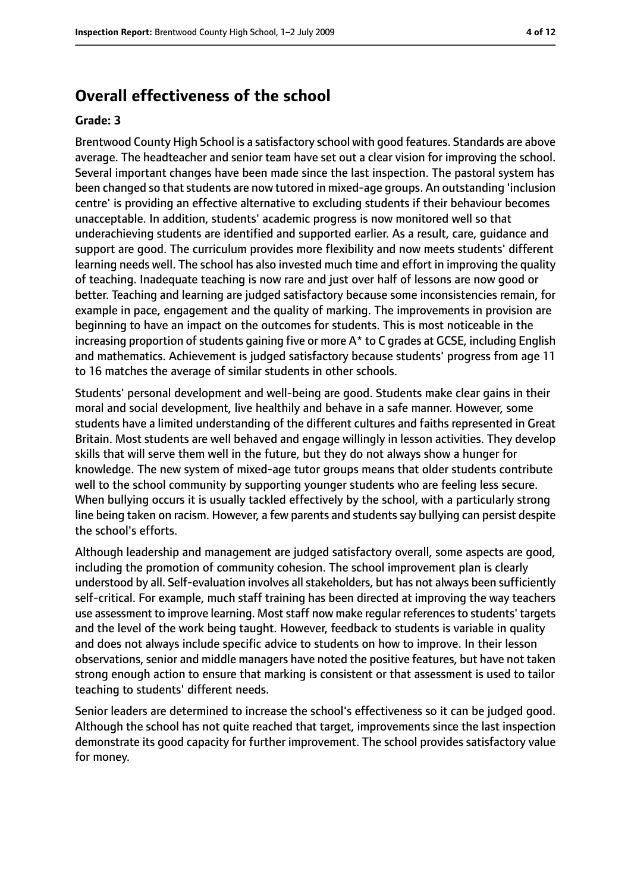## **Overall effectiveness of the school**

#### **Grade: 3**

Brentwood County High School is a satisfactory school with good features. Standards are above average. The headteacher and senior team have set out a clear vision for improving the school. Several important changes have been made since the last inspection. The pastoral system has been changed so that students are now tutored in mixed-age groups. An outstanding 'inclusion centre' is providing an effective alternative to excluding students if their behaviour becomes unacceptable. In addition, students' academic progress is now monitored well so that underachieving students are identified and supported earlier. As a result, care, guidance and support are good. The curriculum provides more flexibility and now meets students' different learning needs well. The school has also invested much time and effort in improving the quality of teaching. Inadequate teaching is now rare and just over half of lessons are now good or better. Teaching and learning are judged satisfactory because some inconsistencies remain, for example in pace, engagement and the quality of marking. The improvements in provision are beginning to have an impact on the outcomes for students. This is most noticeable in the increasing proportion of students gaining five or more  $A^*$  to C grades at GCSE, including English and mathematics. Achievement is judged satisfactory because students' progress from age 11 to 16 matches the average of similar students in other schools.

Students' personal development and well-being are good. Students make clear gains in their moral and social development, live healthily and behave in a safe manner. However, some students have a limited understanding of the different cultures and faiths represented in Great Britain. Most students are well behaved and engage willingly in lesson activities. They develop skills that will serve them well in the future, but they do not always show a hunger for knowledge. The new system of mixed-age tutor groups means that older students contribute well to the school community by supporting younger students who are feeling less secure. When bullying occurs it is usually tackled effectively by the school, with a particularly strong line being taken on racism. However, a few parents and students say bullying can persist despite the school's efforts.

Although leadership and management are judged satisfactory overall, some aspects are good, including the promotion of community cohesion. The school improvement plan is clearly understood by all. Self-evaluation involves all stakeholders, but has not always been sufficiently self-critical. For example, much staff training has been directed at improving the way teachers use assessment to improve learning. Most staff now make regular references to students' targets and the level of the work being taught. However, feedback to students is variable in quality and does not always include specific advice to students on how to improve. In their lesson observations, senior and middle managers have noted the positive features, but have not taken strong enough action to ensure that marking is consistent or that assessment is used to tailor teaching to students' different needs.

Senior leaders are determined to increase the school's effectiveness so it can be judged good. Although the school has not quite reached that target, improvements since the last inspection demonstrate its good capacity for further improvement. The school provides satisfactory value for money.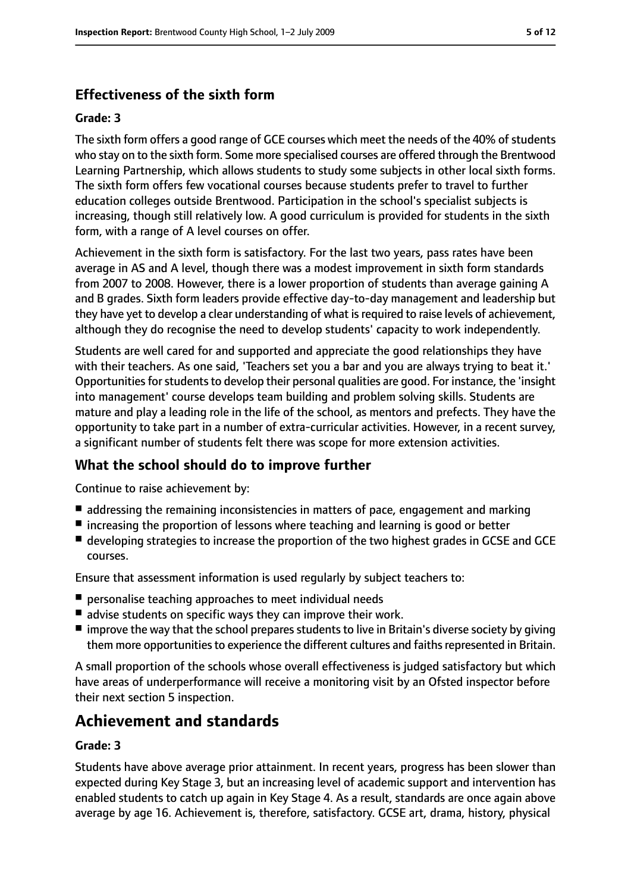# **Effectiveness of the sixth form**

#### **Grade: 3**

The sixth form offers a good range of GCE courses which meet the needs of the 40% of students who stay on to the sixth form. Some more specialised courses are offered through the Brentwood Learning Partnership, which allows students to study some subjects in other local sixth forms. The sixth form offers few vocational courses because students prefer to travel to further education colleges outside Brentwood. Participation in the school's specialist subjects is increasing, though still relatively low. A good curriculum is provided for students in the sixth form, with a range of A level courses on offer.

Achievement in the sixth form is satisfactory. For the last two years, pass rates have been average in AS and A level, though there was a modest improvement in sixth form standards from 2007 to 2008. However, there is a lower proportion of students than average gaining A and B grades. Sixth form leaders provide effective day-to-day management and leadership but they have yet to develop a clear understanding of what is required to raise levels of achievement, although they do recognise the need to develop students' capacity to work independently.

Students are well cared for and supported and appreciate the good relationships they have with their teachers. As one said, 'Teachers set you a bar and you are always trying to beat it.' Opportunities for students to develop their personal qualities are good. For instance, the 'insight into management' course develops team building and problem solving skills. Students are mature and play a leading role in the life of the school, as mentors and prefects. They have the opportunity to take part in a number of extra-curricular activities. However, in a recent survey, a significant number of students felt there was scope for more extension activities.

## **What the school should do to improve further**

Continue to raise achievement by:

- addressing the remaining inconsistencies in matters of pace, engagement and marking
- increasing the proportion of lessons where teaching and learning is good or better
- developing strategies to increase the proportion of the two highest grades in GCSE and GCE courses.

Ensure that assessment information is used regularly by subject teachers to:

- personalise teaching approaches to meet individual needs
- advise students on specific ways they can improve their work.
- improve the way that the school prepares students to live in Britain's diverse society by giving them more opportunities to experience the different cultures and faiths represented in Britain.

A small proportion of the schools whose overall effectiveness is judged satisfactory but which have areas of underperformance will receive a monitoring visit by an Ofsted inspector before their next section 5 inspection.

# **Achievement and standards**

#### **Grade: 3**

Students have above average prior attainment. In recent years, progress has been slower than expected during Key Stage 3, but an increasing level of academic support and intervention has enabled students to catch up again in Key Stage 4. As a result, standards are once again above average by age 16. Achievement is, therefore, satisfactory. GCSE art, drama, history, physical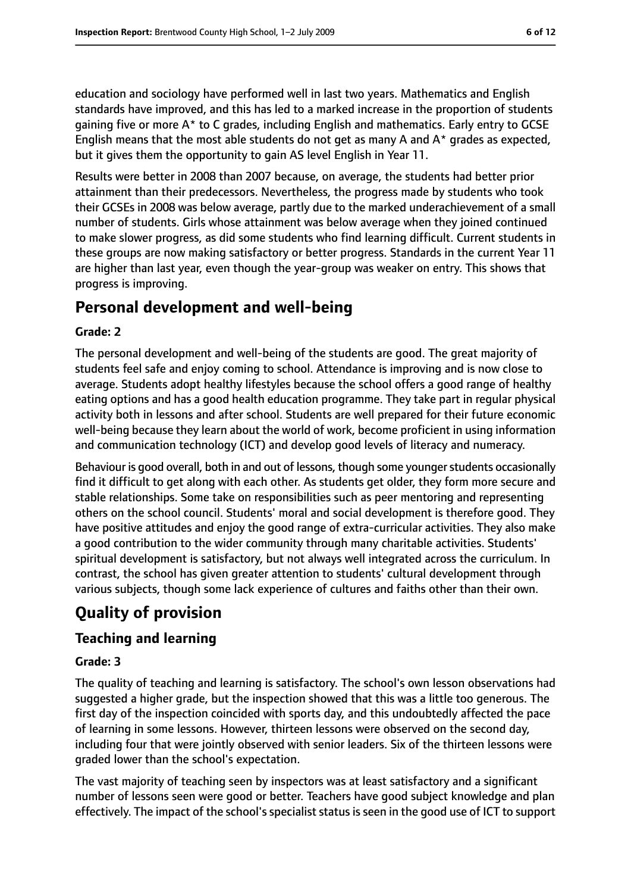education and sociology have performed well in last two years. Mathematics and English standards have improved, and this has led to a marked increase in the proportion of students gaining five or more A\* to C grades, including English and mathematics. Early entry to GCSE English means that the most able students do not get as many A and  $A^*$  grades as expected, but it gives them the opportunity to gain AS level English in Year 11.

Results were better in 2008 than 2007 because, on average, the students had better prior attainment than their predecessors. Nevertheless, the progress made by students who took their GCSEs in 2008 was below average, partly due to the marked underachievement of a small number of students. Girls whose attainment was below average when they joined continued to make slower progress, as did some students who find learning difficult. Current students in these groups are now making satisfactory or better progress. Standards in the current Year 11 are higher than last year, even though the year-group was weaker on entry. This shows that progress is improving.

# **Personal development and well-being**

#### **Grade: 2**

The personal development and well-being of the students are good. The great majority of students feel safe and enjoy coming to school. Attendance is improving and is now close to average. Students adopt healthy lifestyles because the school offers a good range of healthy eating options and has a good health education programme. They take part in regular physical activity both in lessons and after school. Students are well prepared for their future economic well-being because they learn about the world of work, become proficient in using information and communication technology (ICT) and develop good levels of literacy and numeracy.

Behaviour is good overall, both in and out of lessons, though some younger students occasionally find it difficult to get along with each other. As students get older, they form more secure and stable relationships. Some take on responsibilities such as peer mentoring and representing others on the school council. Students' moral and social development is therefore good. They have positive attitudes and enjoy the good range of extra-curricular activities. They also make a good contribution to the wider community through many charitable activities. Students' spiritual development is satisfactory, but not always well integrated across the curriculum. In contrast, the school has given greater attention to students' cultural development through various subjects, though some lack experience of cultures and faiths other than their own.

# **Quality of provision**

## **Teaching and learning**

#### **Grade: 3**

The quality of teaching and learning is satisfactory. The school's own lesson observations had suggested a higher grade, but the inspection showed that this was a little too generous. The first day of the inspection coincided with sports day, and this undoubtedly affected the pace of learning in some lessons. However, thirteen lessons were observed on the second day, including four that were jointly observed with senior leaders. Six of the thirteen lessons were graded lower than the school's expectation.

The vast majority of teaching seen by inspectors was at least satisfactory and a significant number of lessons seen were good or better. Teachers have good subject knowledge and plan effectively. The impact of the school's specialist status is seen in the good use of ICT to support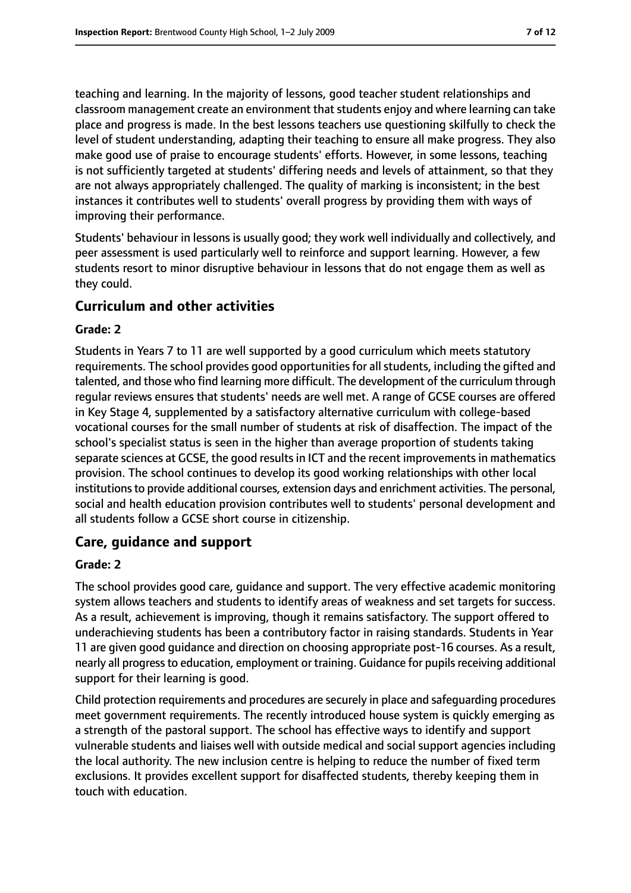teaching and learning. In the majority of lessons, good teacher student relationships and classroom management create an environment that students enjoy and where learning can take place and progress is made. In the best lessons teachers use questioning skilfully to check the level of student understanding, adapting their teaching to ensure all make progress. They also make good use of praise to encourage students' efforts. However, in some lessons, teaching is not sufficiently targeted at students' differing needs and levels of attainment, so that they are not always appropriately challenged. The quality of marking is inconsistent; in the best instances it contributes well to students' overall progress by providing them with ways of improving their performance.

Students' behaviour in lessons is usually good; they work well individually and collectively, and peer assessment is used particularly well to reinforce and support learning. However, a few students resort to minor disruptive behaviour in lessons that do not engage them as well as they could.

## **Curriculum and other activities**

#### **Grade: 2**

Students in Years 7 to 11 are well supported by a good curriculum which meets statutory requirements. The school provides good opportunities for all students, including the gifted and talented, and those who find learning more difficult. The development of the curriculum through regular reviews ensures that students' needs are well met. A range of GCSE courses are offered in Key Stage 4, supplemented by a satisfactory alternative curriculum with college-based vocational courses for the small number of students at risk of disaffection. The impact of the school's specialist status is seen in the higher than average proportion of students taking separate sciences at GCSE, the good results in ICT and the recent improvements in mathematics provision. The school continues to develop its good working relationships with other local institutions to provide additional courses, extension days and enrichment activities. The personal, social and health education provision contributes well to students' personal development and all students follow a GCSE short course in citizenship.

## **Care, guidance and support**

#### **Grade: 2**

The school provides good care, guidance and support. The very effective academic monitoring system allows teachers and students to identify areas of weakness and set targets for success. As a result, achievement is improving, though it remains satisfactory. The support offered to underachieving students has been a contributory factor in raising standards. Students in Year 11 are given good guidance and direction on choosing appropriate post-16 courses. As a result, nearly all progressto education, employment or training. Guidance for pupilsreceiving additional support for their learning is good.

Child protection requirements and procedures are securely in place and safeguarding procedures meet government requirements. The recently introduced house system is quickly emerging as a strength of the pastoral support. The school has effective ways to identify and support vulnerable students and liaises well with outside medical and social support agencies including the local authority. The new inclusion centre is helping to reduce the number of fixed term exclusions. It provides excellent support for disaffected students, thereby keeping them in touch with education.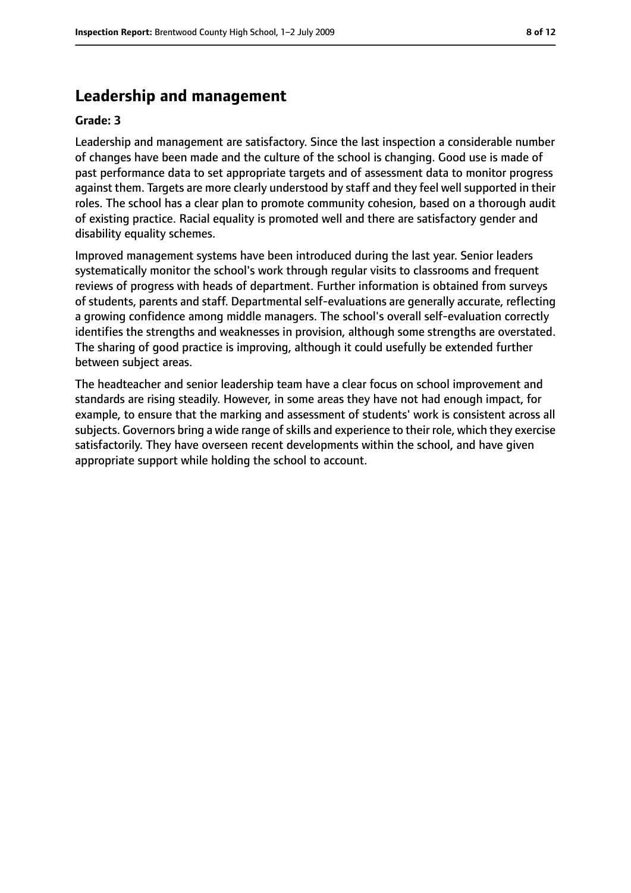# **Leadership and management**

#### **Grade: 3**

Leadership and management are satisfactory. Since the last inspection a considerable number of changes have been made and the culture of the school is changing. Good use is made of past performance data to set appropriate targets and of assessment data to monitor progress against them. Targets are more clearly understood by staff and they feel well supported in their roles. The school has a clear plan to promote community cohesion, based on a thorough audit of existing practice. Racial equality is promoted well and there are satisfactory gender and disability equality schemes.

Improved management systems have been introduced during the last year. Senior leaders systematically monitor the school's work through regular visits to classrooms and frequent reviews of progress with heads of department. Further information is obtained from surveys of students, parents and staff. Departmental self-evaluations are generally accurate, reflecting a growing confidence among middle managers. The school's overall self-evaluation correctly identifies the strengths and weaknesses in provision, although some strengths are overstated. The sharing of good practice is improving, although it could usefully be extended further between subject areas.

The headteacher and senior leadership team have a clear focus on school improvement and standards are rising steadily. However, in some areas they have not had enough impact, for example, to ensure that the marking and assessment of students' work is consistent across all subjects. Governors bring a wide range of skills and experience to their role, which they exercise satisfactorily. They have overseen recent developments within the school, and have given appropriate support while holding the school to account.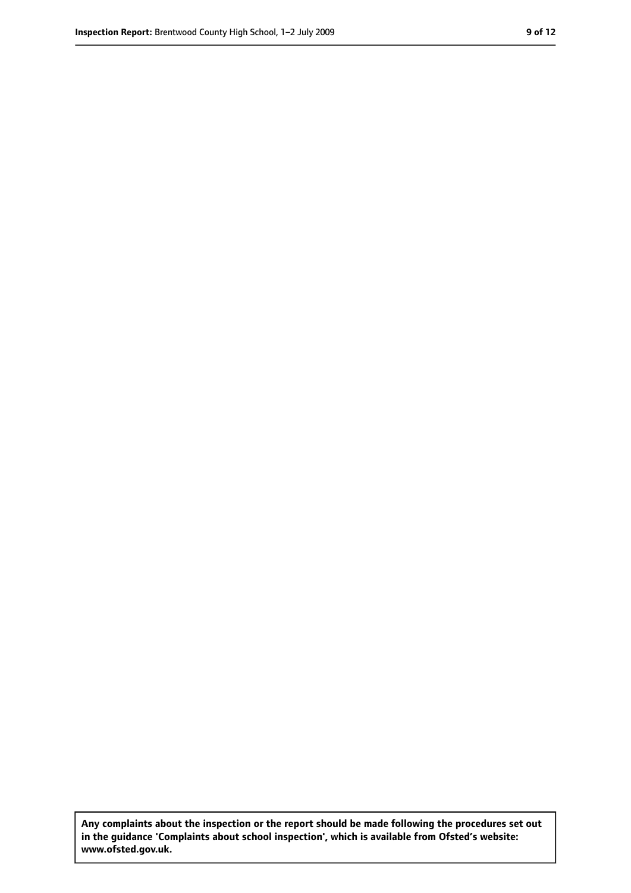**Any complaints about the inspection or the report should be made following the procedures set out in the guidance 'Complaints about school inspection', which is available from Ofsted's website: www.ofsted.gov.uk.**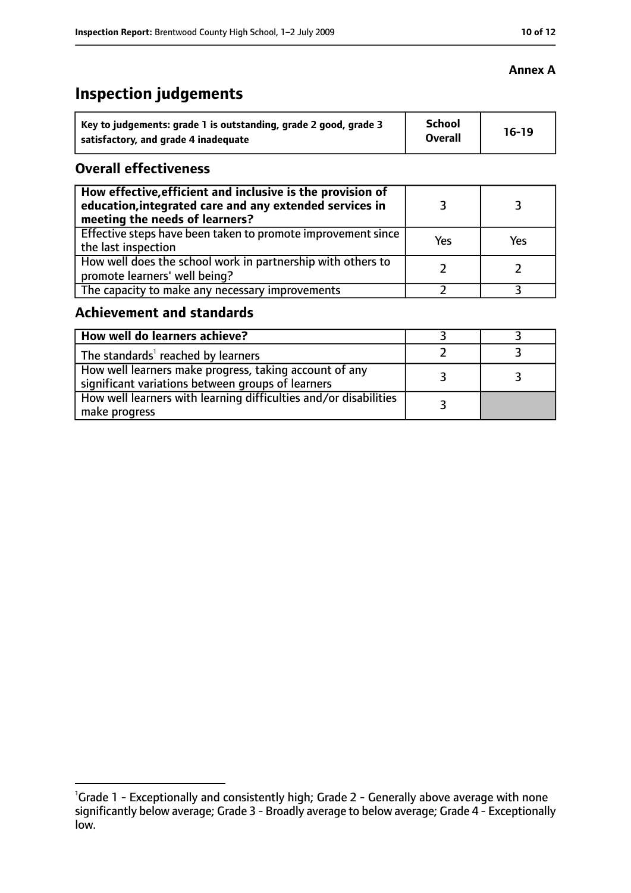# **Inspection judgements**

| Key to judgements: grade 1 is outstanding, grade 2 good, grade 3 | <b>School</b><br><b>Overall</b> | $16-19$ |
|------------------------------------------------------------------|---------------------------------|---------|
| satisfactory, and grade 4 inadequate                             |                                 |         |

## **Overall effectiveness**

| How effective, efficient and inclusive is the provision of<br>education, integrated care and any extended services in<br>meeting the needs of learners? |     |     |
|---------------------------------------------------------------------------------------------------------------------------------------------------------|-----|-----|
| Effective steps have been taken to promote improvement since<br>the last inspection                                                                     | Yes | Yes |
| How well does the school work in partnership with others to<br>promote learners' well being?                                                            |     |     |
| The capacity to make any necessary improvements                                                                                                         |     |     |

# **Achievement and standards**

| How well do learners achieve?                                                                               |  |
|-------------------------------------------------------------------------------------------------------------|--|
| The standards <sup>1</sup> reached by learners                                                              |  |
| How well learners make progress, taking account of any<br>significant variations between groups of learners |  |
| How well learners with learning difficulties and/or disabilities<br>make progress                           |  |

#### **Annex A**

<sup>&</sup>lt;sup>1</sup>Grade 1 - Exceptionally and consistently high; Grade 2 - Generally above average with none significantly below average; Grade 3 - Broadly average to below average; Grade 4 - Exceptionally low.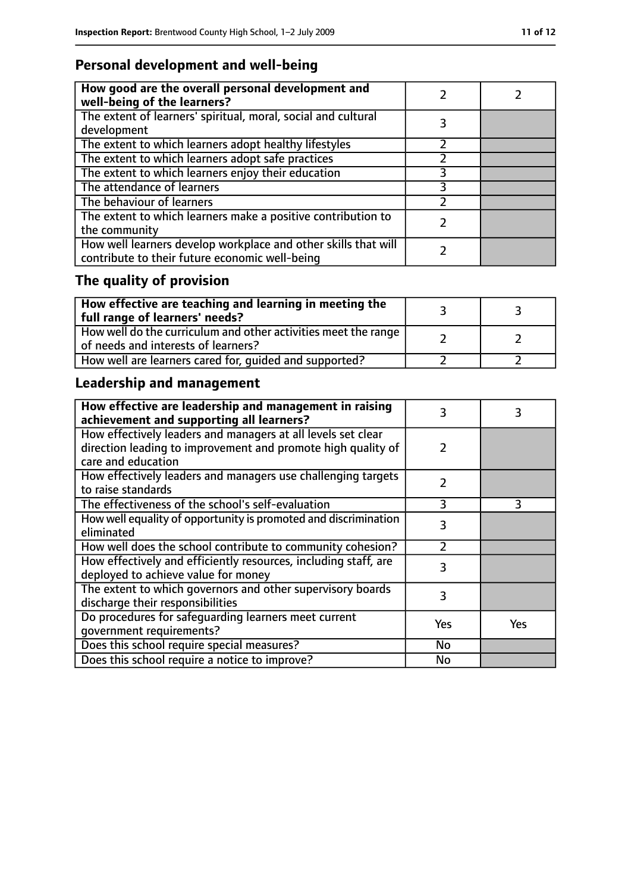# **Personal development and well-being**

| How good are the overall personal development and<br>well-being of the learners?                                 |  |
|------------------------------------------------------------------------------------------------------------------|--|
| The extent of learners' spiritual, moral, social and cultural<br>development                                     |  |
| The extent to which learners adopt healthy lifestyles                                                            |  |
| The extent to which learners adopt safe practices                                                                |  |
| The extent to which learners enjoy their education                                                               |  |
| The attendance of learners                                                                                       |  |
| The behaviour of learners                                                                                        |  |
| The extent to which learners make a positive contribution to<br>the community                                    |  |
| How well learners develop workplace and other skills that will<br>contribute to their future economic well-being |  |

# **The quality of provision**

| $\mid$ How effective are teaching and learning in meeting the<br>full range of learners' needs?       |  |
|-------------------------------------------------------------------------------------------------------|--|
| How well do the curriculum and other activities meet the range<br>of needs and interests of learners? |  |
| How well are learners cared for, quided and supported?                                                |  |

# **Leadership and management**

| How effective are leadership and management in raising<br>achievement and supporting all learners? | 3             | 3   |
|----------------------------------------------------------------------------------------------------|---------------|-----|
| How effectively leaders and managers at all levels set clear                                       |               |     |
| direction leading to improvement and promote high quality of                                       | 2             |     |
| care and education                                                                                 |               |     |
| How effectively leaders and managers use challenging targets                                       | $\mathcal{P}$ |     |
| to raise standards                                                                                 |               |     |
| The effectiveness of the school's self-evaluation                                                  | 3             | 3   |
| How well equality of opportunity is promoted and discrimination                                    | 3             |     |
| eliminated                                                                                         |               |     |
| How well does the school contribute to community cohesion?                                         | 7             |     |
| How effectively and efficiently resources, including staff, are                                    | 3             |     |
| deployed to achieve value for money                                                                |               |     |
| The extent to which governors and other supervisory boards                                         | 3             |     |
| discharge their responsibilities                                                                   |               |     |
| Do procedures for safeguarding learners meet current                                               | Yes           | Yes |
| qovernment requirements?                                                                           |               |     |
| Does this school require special measures?                                                         | No            |     |
| Does this school require a notice to improve?                                                      | No            |     |